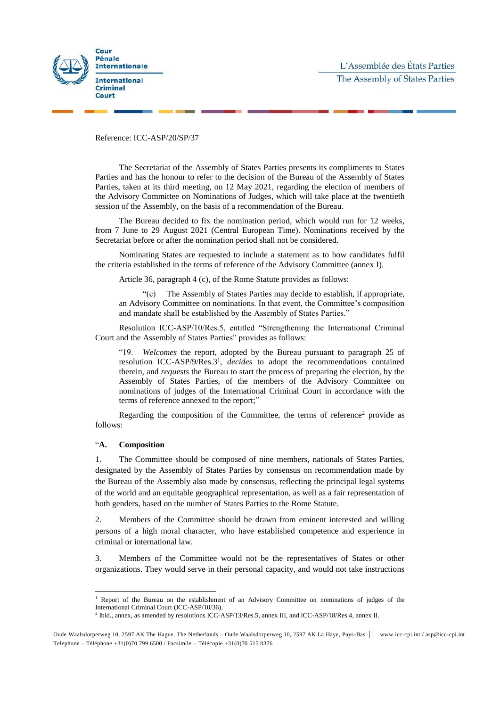

Reference: ICC-ASP/20/SP/37

The Secretariat of the Assembly of States Parties presents its compliments to States Parties and has the honour to refer to the decision of the Bureau of the Assembly of States Parties, taken at its third meeting, on 12 May 2021, regarding the election of members of the Advisory Committee on Nominations of Judges, which will take place at the twentieth session of the Assembly, on the basis of a recommendation of the Bureau.

The Bureau decided to fix the nomination period, which would run for 12 weeks, from 7 June to 29 August 2021 (Central European Time). Nominations received by the Secretariat before or after the nomination period shall not be considered.

Nominating States are requested to include a statement as to how candidates fulfil the criteria established in the terms of reference of the Advisory Committee (annex I).

Article 36, paragraph 4 (c), of the Rome Statute provides as follows:

"(c) The Assembly of States Parties may decide to establish, if appropriate, an Advisory Committee on nominations. In that event, the Committee's composition and mandate shall be established by the Assembly of States Parties."

Resolution ICC-ASP/10/Res.5, entitled "Strengthening the International Criminal Court and the Assembly of States Parties" provides as follows:

"19. *Welcomes* the report, adopted by the Bureau pursuant to paragraph 25 of resolution ICC-ASP/9/Res.3<sup>1</sup> , *decides* to adopt the recommendations contained therein, and *requests* the Bureau to start the process of preparing the election, by the Assembly of States Parties, of the members of the Advisory Committee on nominations of judges of the International Criminal Court in accordance with the terms of reference annexed to the report;"

Regarding the composition of the Committee, the terms of reference<sup>2</sup> provide as follows:

#### "**A. Composition**

 $\overline{a}$ 

1. The Committee should be composed of nine members, nationals of States Parties, designated by the Assembly of States Parties by consensus on recommendation made by the Bureau of the Assembly also made by consensus, reflecting the principal legal systems of the world and an equitable geographical representation, as well as a fair representation of both genders, based on the number of States Parties to the Rome Statute.

2. Members of the Committee should be drawn from eminent interested and willing persons of a high moral character, who have established competence and experience in criminal or international law.

3. Members of the Committee would not be the representatives of States or other organizations. They would serve in their personal capacity, and would not take instructions

<sup>1</sup> Report of the Bureau on the establishment of an Advisory Committee on nominations of judges of the International Criminal Court (ICC-ASP/10/36).

<sup>2</sup> Ibid., annex, as amended by resolutions ICC-ASP/13/Res.5, annex III, and ICC-ASP/18/Res.4, annex II.

Oude Waalsdorperweg 10, 2597 AK The Hague, The Netherlands – Oude Waalsdorperweg 10, 2597 AK La Haye, Pays-Bas www.icc-cpi.int / asp@icc-cpi.int Telephone – Téléphone +31(0)70 799 6500 / Facsimile – Télécopie +31(0)70 515 8376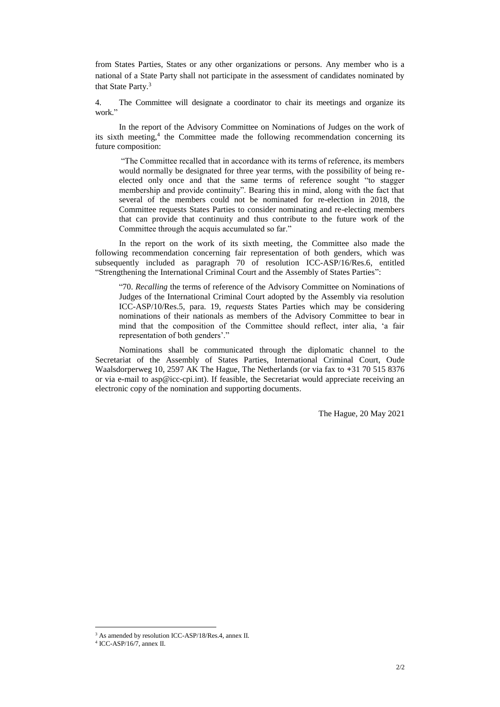from States Parties, States or any other organizations or persons. Any member who is a national of a State Party shall not participate in the assessment of candidates nominated by that State Party.<sup>3</sup>

4. The Committee will designate a coordinator to chair its meetings and organize its work."

In the report of the Advisory Committee on Nominations of Judges on the work of its sixth meeting,<sup>4</sup> the Committee made the following recommendation concerning its future composition:

"The Committee recalled that in accordance with its terms of reference, its members would normally be designated for three year terms, with the possibility of being reelected only once and that the same terms of reference sought "to stagger membership and provide continuity". Bearing this in mind, along with the fact that several of the members could not be nominated for re-election in 2018, the Committee requests States Parties to consider nominating and re-electing members that can provide that continuity and thus contribute to the future work of the Committee through the acquis accumulated so far."

In the report on the work of its sixth meeting, the Committee also made the following recommendation concerning fair representation of both genders, which was subsequently included as paragraph 70 of resolution ICC-ASP/16/Res.6, entitled "Strengthening the International Criminal Court and the Assembly of States Parties":

"70. *Recalling* the terms of reference of the Advisory Committee on Nominations of Judges of the International Criminal Court adopted by the Assembly via resolution ICC-ASP/10/Res.5, para. 19, *requests* States Parties which may be considering nominations of their nationals as members of the Advisory Committee to bear in mind that the composition of the Committee should reflect, inter alia, 'a fair representation of both genders'."

Nominations shall be communicated through the diplomatic channel to the Secretariat of the Assembly of States Parties, International Criminal Court, Oude Waalsdorperweg 10, 2597 AK The Hague, The Netherlands (or via fax to **+**31 70 515 8376 or via e-mail to [asp@icc-cpi.int\)](mailto:asp@icc-cpi.int). If feasible, the Secretariat would appreciate receiving an electronic copy of the nomination and supporting documents.

The Hague, 20 May 2021

 $\overline{a}$ 

<sup>3</sup> As amended by resolution ICC-ASP/18/Res.4, annex II.

<sup>4</sup> ICC-ASP/16/7, annex II.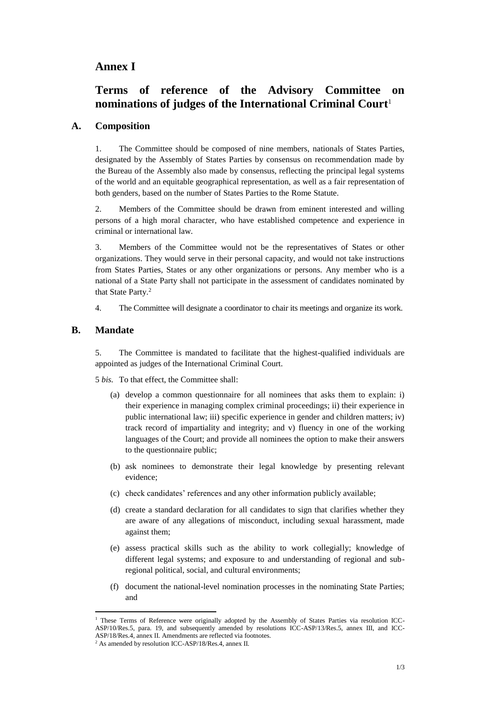## **Annex I**

# **Terms of reference of the Advisory Committee on nominations of judges of the International Criminal Court**<sup>1</sup>

#### **A. Composition**

1. The Committee should be composed of nine members, nationals of States Parties, designated by the Assembly of States Parties by consensus on recommendation made by the Bureau of the Assembly also made by consensus, reflecting the principal legal systems of the world and an equitable geographical representation, as well as a fair representation of both genders, based on the number of States Parties to the Rome Statute.

2. Members of the Committee should be drawn from eminent interested and willing persons of a high moral character, who have established competence and experience in criminal or international law.

3. Members of the Committee would not be the representatives of States or other organizations. They would serve in their personal capacity, and would not take instructions from States Parties, States or any other organizations or persons. Any member who is a national of a State Party shall not participate in the assessment of candidates nominated by that State Party.<sup>2</sup>

4. The Committee will designate a coordinator to chair its meetings and organize its work.

#### **B. Mandate**

 $\overline{a}$ 

5. The Committee is mandated to facilitate that the highest-qualified individuals are appointed as judges of the International Criminal Court.

5 *bis.* To that effect, the Committee shall:

- (a) develop a common questionnaire for all nominees that asks them to explain: i) their experience in managing complex criminal proceedings; ii) their experience in public international law; iii) specific experience in gender and children matters; iv) track record of impartiality and integrity; and v) fluency in one of the working languages of the Court; and provide all nominees the option to make their answers to the questionnaire public;
- (b) ask nominees to demonstrate their legal knowledge by presenting relevant evidence;
- (c) check candidates' references and any other information publicly available;
- (d) create a standard declaration for all candidates to sign that clarifies whether they are aware of any allegations of misconduct, including sexual harassment, made against them;
- (e) assess practical skills such as the ability to work collegially; knowledge of different legal systems; and exposure to and understanding of regional and subregional political, social, and cultural environments;
- (f) document the national-level nomination processes in the nominating State Parties; and

<sup>1</sup> These Terms of Reference were originally adopted by the Assembly of States Parties via resolution ICC-ASP/10/Res.5, para. 19, and subsequently amended by resolutions ICC-ASP/13/Res.5, annex III, and ICC-ASP/18/Res.4, annex II. Amendments are reflected via footnotes.

<sup>2</sup> As amended by resolution ICC-ASP/18/Res.4, annex II.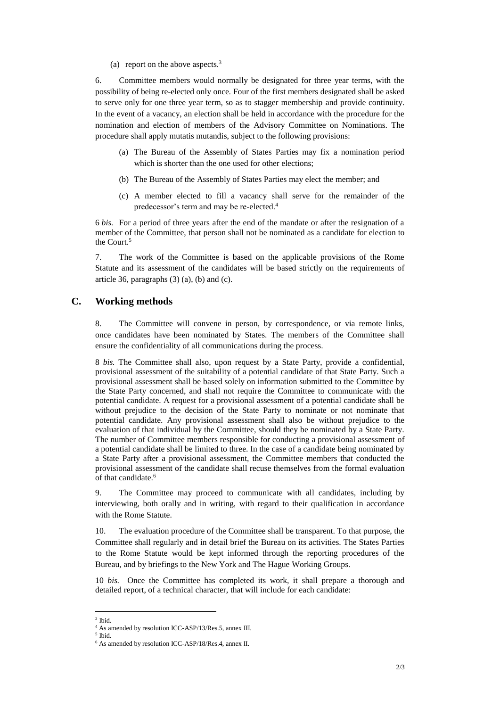(a) report on the above aspects. $3$ 

6. Committee members would normally be designated for three year terms, with the possibility of being re-elected only once*.* Four of the first members designated shall be asked to serve only for one three year term, so as to stagger membership and provide continuity. In the event of a vacancy, an election shall be held in accordance with the procedure for the nomination and election of members of the Advisory Committee on Nominations. The procedure shall apply mutatis mutandis, subject to the following provisions:

- (a) The Bureau of the Assembly of States Parties may fix a nomination period which is shorter than the one used for other elections;
- (b) The Bureau of the Assembly of States Parties may elect the member; and
- (c) A member elected to fill a vacancy shall serve for the remainder of the predecessor's term and may be re-elected. 4

6 *bis.* For a period of three years after the end of the mandate or after the resignation of a member of the Committee, that person shall not be nominated as a candidate for election to the Court. 5

7. The work of the Committee is based on the applicable provisions of the Rome Statute and its assessment of the candidates will be based strictly on the requirements of article 36, paragraphs  $(3)$   $(a)$ ,  $(b)$  and  $(c)$ .

### **C. Working methods**

8. The Committee will convene in person, by correspondence, or via remote links, once candidates have been nominated by States. The members of the Committee shall ensure the confidentiality of all communications during the process.

8 *bis.* The Committee shall also, upon request by a State Party, provide a confidential, provisional assessment of the suitability of a potential candidate of that State Party. Such a provisional assessment shall be based solely on information submitted to the Committee by the State Party concerned, and shall not require the Committee to communicate with the potential candidate. A request for a provisional assessment of a potential candidate shall be without prejudice to the decision of the State Party to nominate or not nominate that potential candidate. Any provisional assessment shall also be without prejudice to the evaluation of that individual by the Committee, should they be nominated by a State Party. The number of Committee members responsible for conducting a provisional assessment of a potential candidate shall be limited to three. In the case of a candidate being nominated by a State Party after a provisional assessment, the Committee members that conducted the provisional assessment of the candidate shall recuse themselves from the formal evaluation of that candidate. 6

9. The Committee may proceed to communicate with all candidates, including by interviewing, both orally and in writing, with regard to their qualification in accordance with the Rome Statute.

10. The evaluation procedure of the Committee shall be transparent. To that purpose, the Committee shall regularly and in detail brief the Bureau on its activities. The States Parties to the Rome Statute would be kept informed through the reporting procedures of the Bureau, and by briefings to the New York and The Hague Working Groups.

10 *bis.* Once the Committee has completed its work, it shall prepare a thorough and detailed report, of a technical character, that will include for each candidate:

 $\overline{a}$ 

<sup>3</sup> Ibid.

<sup>4</sup> As amended by resolution ICC-ASP/13/Res.5, annex III.

<sup>5</sup> Ibid. <sup>6</sup> As amended by resolution ICC-ASP/18/Res.4, annex II.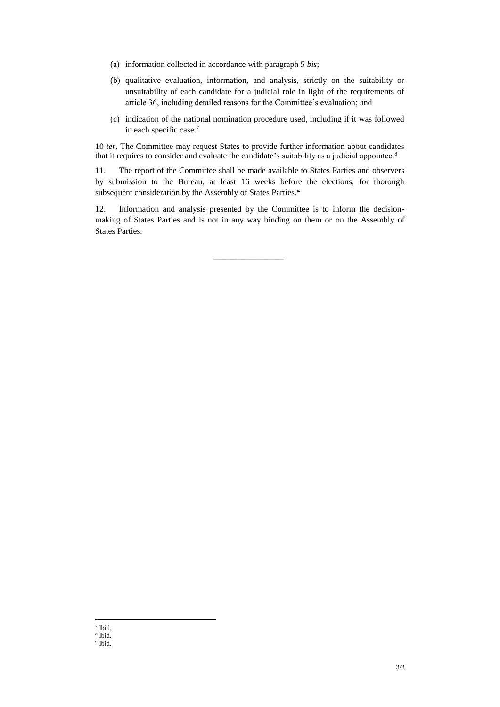- (a) information collected in accordance with paragraph 5 *bis*;
- (b) qualitative evaluation, information, and analysis, strictly on the suitability or unsuitability of each candidate for a judicial role in light of the requirements of article 36, including detailed reasons for the Committee's evaluation; and
- (c) indication of the national nomination procedure used, including if it was followed in each specific case.<sup>7</sup>

10 *ter.* The Committee may request States to provide further information about candidates that it requires to consider and evaluate the candidate's suitability as a judicial appointee.<sup>8</sup>

11. The report of the Committee shall be made available to States Parties and observers by submission to the Bureau, at least 16 weeks before the elections, for thorough subsequent consideration by the Assembly of States Parties.<sup>9</sup>

12. Information and analysis presented by the Committee is to inform the decisionmaking of States Parties and is not in any way binding on them or on the Assembly of States Parties.

\_\_\_\_\_\_\_\_\_\_\_\_

 $\overline{a}$ 7 Ibid.

<sup>8</sup> Ibid.

<sup>9</sup> Ibid.